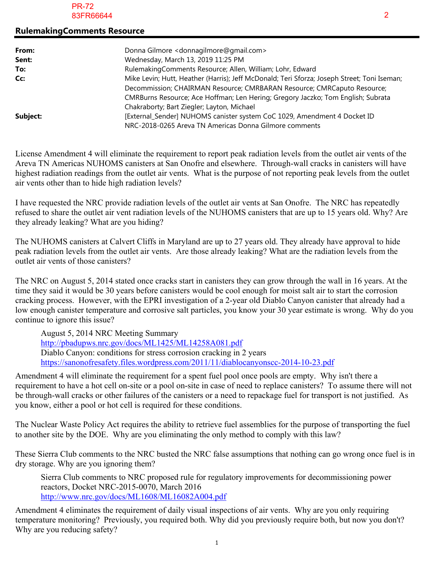## **RulemakingComments Resource**

| From:    | Donna Gilmore < donnagilmore@gmail.com>                                                                                            |
|----------|------------------------------------------------------------------------------------------------------------------------------------|
| Sent:    | Wednesday, March 13, 2019 11:25 PM                                                                                                 |
| To:      | RulemakingComments Resource; Allen, William; Lohr, Edward                                                                          |
| Cc:      | Mike Levin; Hutt, Heather (Harris); Jeff McDonald; Teri Sforza; Joseph Street; Toni Iseman;                                        |
|          | Decommission; CHAIRMAN Resource; CMRBARAN Resource; CMRCaputo Resource;                                                            |
|          | CMRBurns Resource; Ace Hoffman; Len Hering; Gregory Jaczko; Tom English; Subrata                                                   |
|          | Chakraborty; Bart Ziegler; Layton, Michael                                                                                         |
| Subject: | [External_Sender] NUHOMS canister system CoC 1029, Amendment 4 Docket ID<br>NRC-2018-0265 Areva TN Americas Donna Gilmore comments |

License Amendment 4 will eliminate the requirement to report peak radiation levels from the outlet air vents of the Areva TN Americas NUHOMS canisters at San Onofre and elsewhere. Through-wall cracks in canisters will have highest radiation readings from the outlet air vents. What is the purpose of not reporting peak levels from the outlet air vents other than to hide high radiation levels?

I have requested the NRC provide radiation levels of the outlet air vents at San Onofre. The NRC has repeatedly refused to share the outlet air vent radiation levels of the NUHOMS canisters that are up to 15 years old. Why? Are they already leaking? What are you hiding?

The NUHOMS canisters at Calvert Cliffs in Maryland are up to 27 years old. They already have approval to hide peak radiation levels from the outlet air vents. Are those already leaking? What are the radiation levels from the outlet air vents of those canisters?

The NRC on August 5, 2014 stated once cracks start in canisters they can grow through the wall in 16 years. At the time they said it would be 30 years before canisters would be cool enough for moist salt air to start the corrosion cracking process. However, with the EPRI investigation of a 2-year old Diablo Canyon canister that already had a low enough canister temperature and corrosive salt particles, you know your 30 year estimate is wrong. Why do you continue to ignore this issue?

August 5, 2014 NRC Meeting Summary http://pbadupws.nrc.gov/docs/ML1425/ML14258A081.pdf Diablo Canyon: conditions for stress corrosion cracking in 2 years https://sanonofresafety.files.wordpress.com/2011/11/diablocanyonscc-2014-10-23.pdf

Amendment 4 will eliminate the requirement for a spent fuel pool once pools are empty. Why isn't there a requirement to have a hot cell on-site or a pool on-site in case of need to replace canisters? To assume there will not be through-wall cracks or other failures of the canisters or a need to repackage fuel for transport is not justified. As you know, either a pool or hot cell is required for these conditions.

The Nuclear Waste Policy Act requires the ability to retrieve fuel assemblies for the purpose of transporting the fuel to another site by the DOE. Why are you eliminating the only method to comply with this law?

These Sierra Club comments to the NRC busted the NRC false assumptions that nothing can go wrong once fuel is in dry storage. Why are you ignoring them?

Sierra Club comments to NRC proposed rule for regulatory improvements for decommissioning power reactors, Docket NRC-2015-0070, March 2016 http://www.nrc.gov/docs/ML1608/ML16082A004.pdf

Amendment 4 eliminates the requirement of daily visual inspections of air vents. Why are you only requiring temperature monitoring? Previously, you required both. Why did you previously require both, but now you don't? Why are you reducing safety?

1